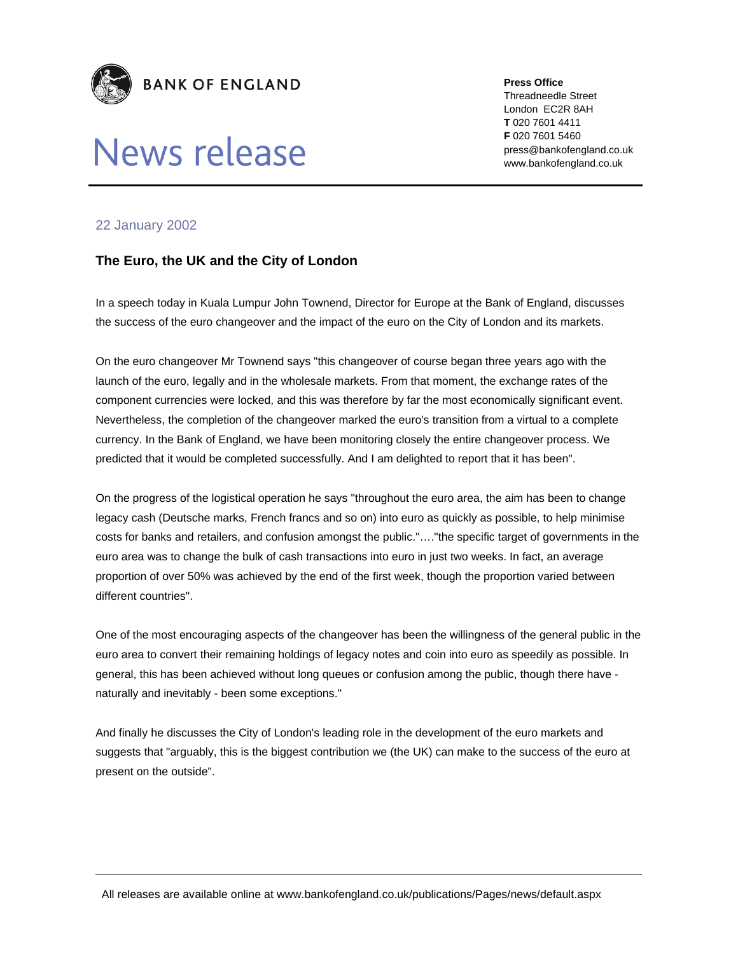

## News release

**Press Office** 

Threadneedle Street London EC2R 8AH **T** 020 7601 4411 **F** 020 7601 5460 press@bankofengland.co.uk www.bankofengland.co.uk

## 22 January 2002

## **The Euro, the UK and the City of London**

In a speech today in Kuala Lumpur John Townend, Director for Europe at the Bank of England, discusses the success of the euro changeover and the impact of the euro on the City of London and its markets.

On the euro changeover Mr Townend says "this changeover of course began three years ago with the launch of the euro, legally and in the wholesale markets. From that moment, the exchange rates of the component currencies were locked, and this was therefore by far the most economically significant event. Nevertheless, the completion of the changeover marked the euro's transition from a virtual to a complete currency. In the Bank of England, we have been monitoring closely the entire changeover process. We predicted that it would be completed successfully. And I am delighted to report that it has been".

On the progress of the logistical operation he says "throughout the euro area, the aim has been to change legacy cash (Deutsche marks, French francs and so on) into euro as quickly as possible, to help minimise costs for banks and retailers, and confusion amongst the public."…."the specific target of governments in the euro area was to change the bulk of cash transactions into euro in just two weeks. In fact, an average proportion of over 50% was achieved by the end of the first week, though the proportion varied between different countries".

One of the most encouraging aspects of the changeover has been the willingness of the general public in the euro area to convert their remaining holdings of legacy notes and coin into euro as speedily as possible. In general, this has been achieved without long queues or confusion among the public, though there have naturally and inevitably - been some exceptions."

And finally he discusses the City of London's leading role in the development of the euro markets and suggests that "arguably, this is the biggest contribution we (the UK) can make to the success of the euro at present on the outside".